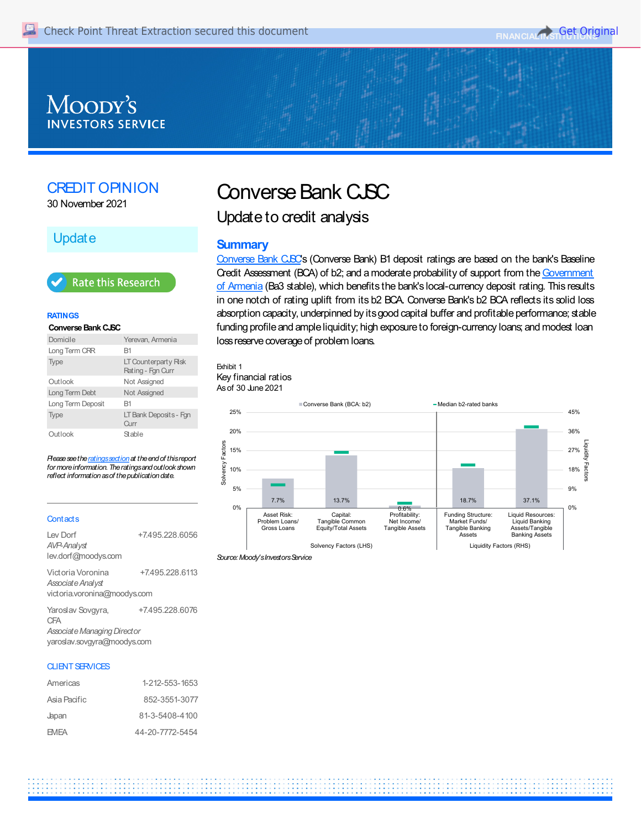**FINANCIAL INSTIGUES** 

# Moody's **INVESTORS SERVICE**

# CREDIT OPINION

30 November 2021

## **Update**

**Rate this Research** 

#### **RATINGS**

| Domicile          | Yerevan, Armenia                          |
|-------------------|-------------------------------------------|
| Long Term CRR     | R <sub>1</sub>                            |
| <b>Type</b>       | LT Counterparty Risk<br>Rating - Fgn Curr |
| Outlook           | Not Assigned                              |
| Long Term Debt    | Not Assigned                              |
| Long Term Deposit | <b>B1</b>                                 |
| <b>Type</b>       | LT Bank Deposits - Fgn<br>$Q$ irr         |
| Outlook           | Stable                                    |

*Please see the ratings section at the end of this report for more information. The ratings and outlook shown reflect information as of the publication date.*

#### **Contacts**

| I ev Dorf<br><b>AVP-Analyst</b><br>lev.dorf@moodys.com                 | +7495 228 6056  |
|------------------------------------------------------------------------|-----------------|
| Victoria Voronina<br>Associate Analyst<br>victoria.voronina@moodys.com | +7495 228 6113  |
| Yaroslav Sovgyra,<br>CFA<br>Associate Managing Director                | +7.495.228.6076 |

yaroslav.sovgyra@moodys.com

## CLIENT SERVICES

| Americas     | 1-212-553-1653  |
|--------------|-----------------|
| Asia Pacific | 852-3551-3077   |
| Japan        | 81-3-5408-4100  |
| <b>FMFA</b>  | 44-20-7772-5454 |

# Converse Bank CJSC Update to credit analysis

## **Summary**

Converse Bank CJSC's (Converse Bank) B1 deposit ratings are based on the bank's Baseline Credit Assessment (BCA) of b2; and a moderate probability of support from the Government of Armenia (Ba3 stable), which benefits the bank's local-currency deposit rating. This results in one notch of rating uplift from its b2 BCA. Converse Bank's b2 BCA reflects its solid loss absorption capacity, underpinned by its good capital buffer and profitable performance; stable funding profile and ample liquidity; high exposure to foreign-currency loans; and modest loan loss reserve coverage of problem loans.

## Exhibit 1 Key financial ratios

As of 30 June 2021



*Source: Moody's Investors Service*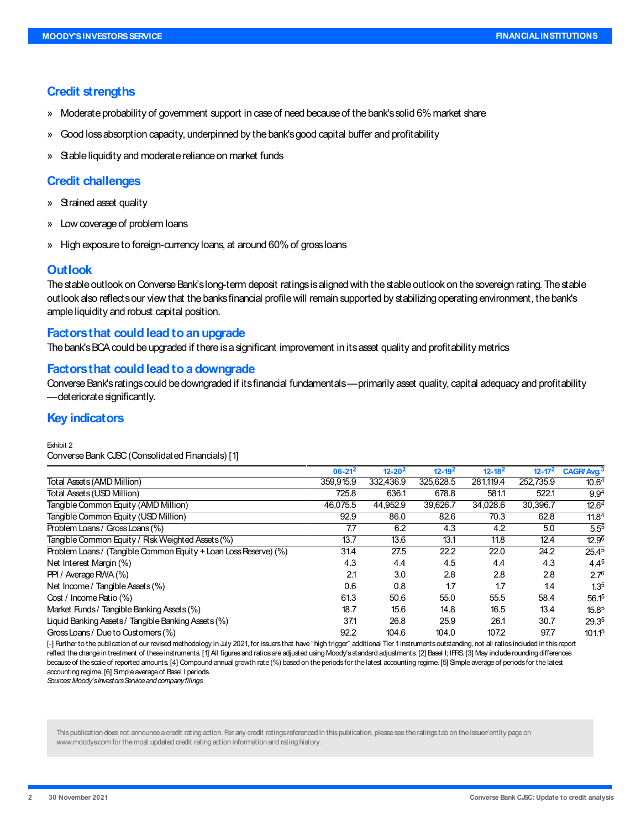## **Credit strengths**

- » Moderate probability of government support in case of need because of the bank's solid 6% market share
- » Good loss absorption capacity, underpinned by the bank's good capital buffer and profitability
- » Stable liquidity and moderate reliance on market funds

## **Credit challenges**

- » Strained asset quality
- » Low coverage of problem loans
- » High exposure to foreign-currency loans, at around 60% of gross loans

## **Outlook**

The stable outlook on Converse Bank's long-term deposit ratings is aligned with the stable outlook on the sovereign rating. The stable outlook also reflects our view that the banks financial profile will remain supported by stabilizing operating environment, the bank's ample liquidity and robust capital position.

## **Factors that could lead to an upgrade**

The bank's BCA could be upgraded if there is a significant improvement in its asset quality and profitability metrics

## **Factors that could lead to a downgrade**

Converse Bank's ratings could be downgraded if its financial fundamentals —primarily asset quality, capital adequacy and profitability —deteriorate significantly.

#### **Key indicators**

Exhibit 2

Converse Bank CJSC (Consolidated Financials) [1]

|                                                                  | $06 - 21^2$ | $12 - 20^2$ | $12 - 19^2$ | $12 - 18^2$ | $12 - 17^2$ | CAGR/Avg. <sup>3</sup> |
|------------------------------------------------------------------|-------------|-------------|-------------|-------------|-------------|------------------------|
| Total Assets (AMD Million)                                       | 359,915.9   | 332.436.9   | 325,628.5   | 281,119.4   | 252.735.9   | 10.6 <sup>4</sup>      |
| Total Assets (USD Million)                                       | 725.8       | 636.1       | 678.8       | 5811        | 522.1       | 9.9 <sup>4</sup>       |
| Tangible Common Equity (AMD Million)                             | 46.075.5    | 44,952.9    | 39,626.7    | 34,028.6    | 30,396.7    | 12.6 <sup>4</sup>      |
| Tangible Common Equity (USD Million)                             | 92.9        | 86.0        | 82.6        | 70.3        | 62.8        | 11.8 <sup>4</sup>      |
| Problem Loans/ Gross Loans (%)                                   | 7.7         | 6.2         | 4.3         | 4.2         | 5.0         | $5.5^{5}$              |
| Tangible Common Equity / Risk Weighted Assets (%)                | 13.7        | 13.6        | 13.1        | 11.8        | 12.4        | 12.96                  |
| Problem Loans / (Tangible Common Equity + Loan Loss Reserve) (%) | 31.4        | 27.5        | 22.2        | 22.0        | 24.2        | 25.4 <sup>5</sup>      |
| Net Interest Margin (%)                                          | 4.3         | 4.4         | 4.5         | 4.4         | 4.3         | $4.4^{5}$              |
| PPI / Average RWA (%)                                            | 2.1         | 3.0         | 2.8         | 2.8         | 2.8         | $2.7^{\circ}$          |
| Net Income / Tangible Assets (%)                                 | 0.6         | 0.8         | 1.7         | 1.7         | 1.4         | 1.3 <sup>5</sup>       |
| Cost / Income Ratio (%)                                          | 61.3        | 50.6        | 55.0        | 55.5        | 58.4        | 56.15                  |
| Market Funds / Tangible Banking Assets (%)                       | 18.7        | 15.6        | 14.8        | 16.5        | 13.4        | 15.8 <sup>5</sup>      |
| Liquid Banking Assets / Tangible Banking Assets (%)              | 371         | 26.8        | 25.9        | 26.1        | 30.7        | 29.35                  |
| Gross Loans / Due to Customers (%)                               | 92.2        | 104.6       | 104.0       | 107.2       | 97.7        | 101.15                 |

[-] Further to the publication of our revised methodology in July 2021, for issuers that have "high trigger" additional Tier 1 instruments outstanding, not all ratios included in this report reflect the change in treatment of these instruments. [1] All figures and ratios are adjusted using Moody's standard adjustments. [2] Basel I; IFRS. [3] May include rounding differences because of the scale of reported amounts. [4] Compound annual growth rate (%) based on the periods for the latest accounting regime. [5] Simple average of periods for the latest accounting regime. [6] Simple average of Basel I periods.

*Sources: Moody's Investors Service and company filings*

This publication does not announce a credit rating action. For any credit ratings referenced in this publication, please see the ratings tab on the issuer/entity page on www.moodys.com for the most updated credit rating action information and rating history.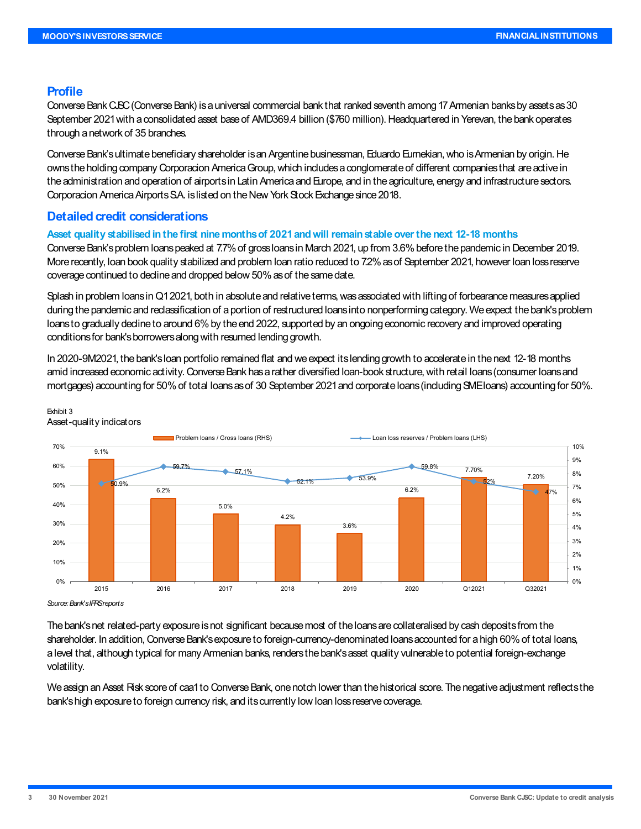## **Profile**

Converse Bank CJSC (Converse Bank) is a universal commercial bank that ranked seventh among 17 Armenian banks by assets as 30 September 2021 with a consolidated asset base of AMD369.4 billion (\$760 million). Headquartered in Yerevan, the bank operates through a network of 35 branches.

Converse Bank's ultimate beneficiary shareholder is an Argentine businessman, Eduardo Eurnekian, who is Armenian by origin. He owns the holding company Corporacion America Group, which includes a conglomerate of different companies that are active in the administration and operation of airports in Latin America and Europe, and in the agriculture, energy and infrastructure sectors. Corporacion America Airports S.A. is listed on the New York Stock Exchange since 2018.

## **Detailed credit considerations**

#### **Asset quality stabilised in the first nine months of 2021 and will remain stable over the next 12-18 months**

Converse Bank's problem loans peaked at 7.7% of gross loans in March 2021, up from 3.6% before the pandemic in December 2019. More recently, loan book quality stabilized and problem loan ratio reduced to 7.2% as of September 2021, however loan loss reserve coverage continued to decline and dropped below 50% as of the same date.

Splash in problem loans in Q1 2021, both in absolute and relative terms, was associated with lifting of forbearance measures applied during the pandemic and reclassification of a portion of restructured loans into nonperforming category. We expect the bank's problem loans to gradually decline to around 6% by the end 2022, supported by an ongoing economic recovery and improved operating conditions for bank's borrowers along with resumed lending growth.

In 2020-9M2021, the bank's loan portfolio remained flat and we expect its lending growth to accelerate in the next 12-18 months amid increased economic activity. Converse Bank has a rather diversified loan-book structure, with retail loans (consumer loans and mortgages) accounting for 50% of total loans as of 30 September 2021 and corporate loans (including SME loans) accounting for 50%.



#### Exhibit 3 Asset-quality indicators

*Source: Bank's IFRS reports*

The bank's net related-party exposure is not significant because most of the loans are collateralised by cash deposits from the shareholder. In addition, Converse Bank's exposure to foreign-currency-denominated loans accounted for a high 60% of total loans, a level that, although typical for many Armenian banks, renders the bank's asset quality vulnerable to potential foreign-exchange volatility.

We assign an Asset Risk score of caa1 to Converse Bank, one notch lower than the historical score. The negative adjustment reflects the bank's high exposure to foreign currency risk, and its currently low loan loss reserve coverage.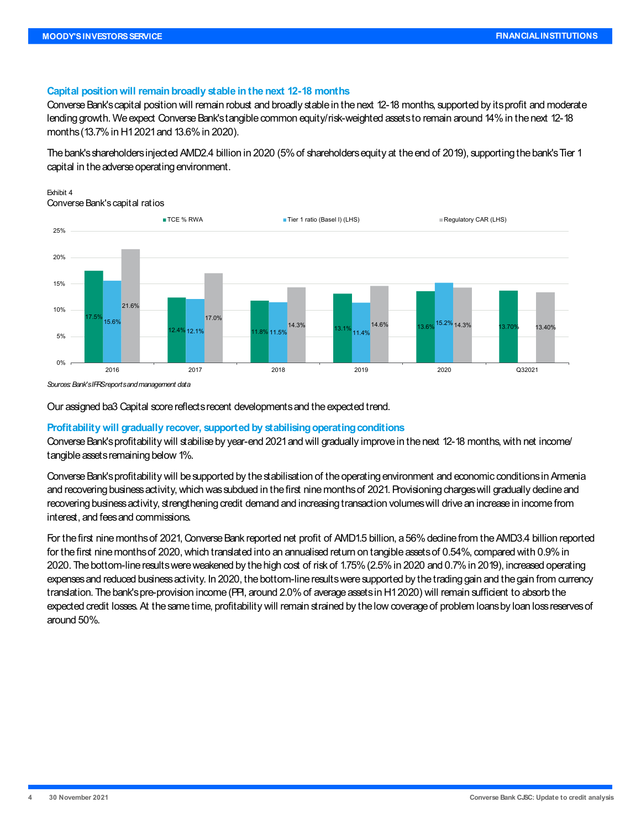## **Capital position will remain broadly stable in the next 12-18 months**

Converse Bank's capital position will remain robust and broadly stable in the next 12-18 months, supported by its profit and moderate lending growth. We expect Converse Bank's tangible common equity/risk-weighted assets to remain around 14% in the next 12-18 months (13.7% in H1 2021 and 13.6% in 2020).

The bank's shareholders injected AMD2.4 billion in 2020 (5% of shareholders equity at the end of 2019), supporting the bank's Tier 1 capital in the adverse operating environment.



*Sources: Bank's IFRS reports and management data*

#### Our assigned ba3 Capital score reflects recent developments and the expected trend.

## **Profitability will gradually recover, supported by stabilising operating conditions**

Converse Bank's profitability will stabilise by year-end 2021 and will gradually improve in the next 12-18 months, with net income/ tangible assets remaining below 1%.

Converse Bank's profitability will be supported by the stabilisation of the operating environment and economic conditions in Armenia and recovering business activity, which was subdued in the first nine months of 2021. Provisioning charges will gradually decline and recovering business activity, strengthening credit demand and increasing transaction volumes will drive an increase in income from interest, and fees and commissions.

For the first nine months of 2021, Converse Bank reported net profit of AMD1.5 billion, a 56% decline from the AMD3.4 billion reported for the first nine months of 2020, which translated into an annualised return on tangible assets of 0.54%, compared with 0.9% in 2020. The bottom-line results were weakened by the high cost of risk of 1.75% (2.5% in 2020 and 0.7% in 2019), increased operating expenses and reduced business activity. In 2020, the bottom-line results were supported by the trading gain and the gain from currency translation. The bank's pre-provision income (PPI, around 2.0% of average assets in H1 2020) will remain sufficient to absorb the expected credit losses. At the same time, profitability will remain strained by the low coverage of problem loans by loan loss reserves of around 50%.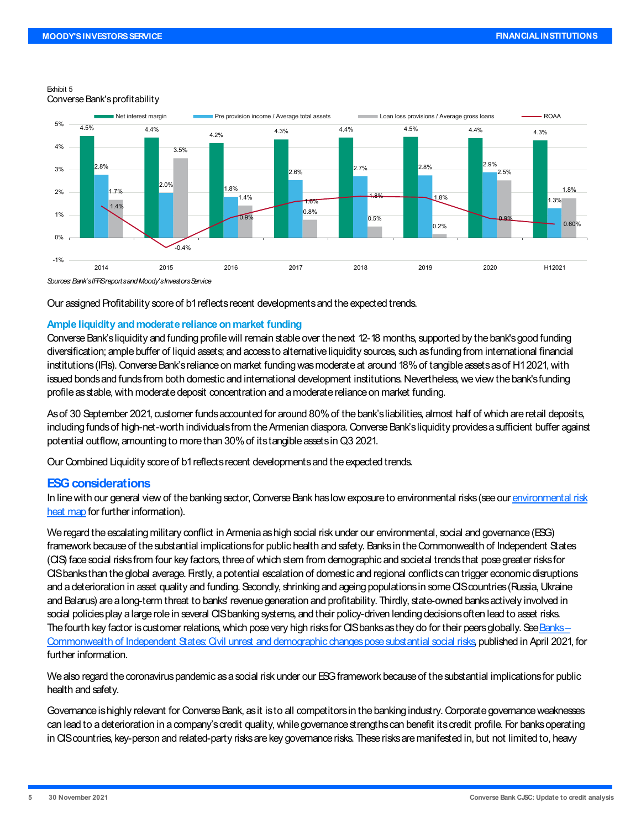

Exhibit 5 Converse Bank's profitability

*Sources: Bank's IFRS reports and Moody's Investors Service*

Our assigned Profitability score of b1 reflects recent developments and the expected trends.

## **Ample liquidity and moderate reliance on market funding**

Converse Bank's liquidity and funding profile will remain stable over the next 12-18 months, supported by the bank's good funding diversification; ample buffer of liquid assets; and access to alternative liquidity sources, such as funding from international financial institutions (IFIs). Converse Bank's reliance on market funding was moderate at around 18% of tangible assets as of H1 2021, with issued bonds and funds from both domestic and international development institutions. Nevertheless, we view the bank's funding profile as stable, with moderate deposit concentration and a moderate reliance on market funding.

As of 30 September 2021, customer funds accounted for around 80% of the bank's liabilities, almost half of which are retail deposits, including funds of high-net-worth individuals from the Armenian diaspora. Converse Bank's liquidity provides a sufficient buffer against potential outflow, amounting to more than 30% of its tangible assets in Q3 2021.

Our Combined Liquidity score of b1 reflects recent developments and the expected trends.

## **ESG considerations**

In line with our general view of the banking sector, Converse Bank has low exposure to environmental risks (see our environmental risk heat map for further information).

We regard the escalating military conflict in Armenia as high social risk under our environmental, social and governance (ESG) framework because of the substantial implications for public health and safety. Banks in the Commonwealth of Independent States (CIS) face social risks from four key factors, three of which stem from demographic and societal trends that pose greater risks for CIS banks than the global average. Firstly, a potential escalation of domestic and regional conflicts can trigger economic disruptions and a deterioration in asset quality and funding. Secondly, shrinking and ageing populations in some CIS countries (Russia, Ukraine and Belarus) are a long-term threat to banks' revenue generation and profitability. Thirdly, state-owned banks actively involved in social policies play a large role in several CIS banking systems, and their policy-driven lending decisions often lead to asset risks. The fourth key factor is customer relations, which pose very high risks for CIS banks as they do for their peers globally. See Banks-Commonwealth of Independent States: Civil unrest and demographic changes pose substantial social risks, published in April 2021, for further information.

We also regard the coronavirus pandemic as a social risk under our ESG framework because of the substantial implications for public health and safety.

Governance is highly relevant for Converse Bank, as it is to all competitors in the banking industry. Corporate governance weaknesses can lead to a deterioration in a company's credit quality, while governance strengths can benefit its credit profile. For banks operating in CIS countries, key-person and related-party risks are key governance risks. These risks are manifested in, but not limited to, heavy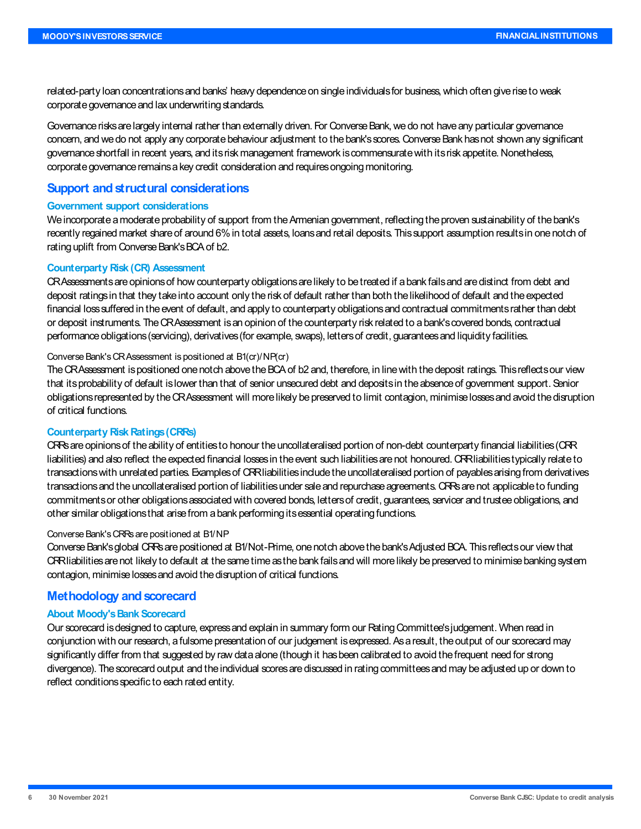related-party loan concentrations and banks' heavy dependence on single individuals for business, which often give rise to weak corporate governance and lax underwriting standards.

Governance risks are largely internal rather than externally driven. For Converse Bank, we do not have any particular governance concern, and we do not apply any corporate behaviour adjustment to the bank's scores. Converse Bank has not shown any significant governance shortfall in recent years, and its risk management framework is commensurate with its risk appetite. Nonetheless, corporate governance remains a key credit consideration and requires ongoing monitoring.

## **Support and structural considerations**

## **Government support considerations**

We incorporate a moderate probability of support from the Armenian government, reflecting the proven sustainability of the bank's recently regained market share of around 6% in total assets, loans and retail deposits. This support assumption results in one notch of rating uplift from Converse Bank's BCA of b2.

#### **Counterparty Risk (CR) Assessment**

CR Assessments are opinions of how counterparty obligations are likely to be treated if a bank fails and are distinct from debt and deposit ratings in that they take into account only the risk of default rather than both the likelihood of default and the expected financial loss suffered in the event of default, and apply to counterparty obligations and contractual commitments rather than debt or deposit instruments. The CR Assessment is an opinion of the counterparty risk related to a bank's covered bonds, contractual performance obligations (servicing), derivatives (for example, swaps), letters of credit, guarantees and liquidity facilities.

#### Converse Bank's CR Assessment is positioned at B1(cr)/NP(cr)

The CR Assessment is positioned one notch above the BCA of b2 and, therefore, in line with the deposit ratings. This reflects our view that its probability of default is lower than that of senior unsecured debt and deposits in the absence of government support. Senior obligations represented by the CR Assessment will more likely be preserved to limit contagion, minimise losses and avoid the disruption of critical functions.

## **Counterparty Risk Ratings (CRRs)**

CRRs are opinions of the ability of entities to honour the uncollateralised portion of non-debt counterparty financial liabilities (CRR liabilities) and also reflect the expected financial losses in the event such liabilities are not honoured. CRR liabilities typically relate to transactions with unrelated parties. Examples of CRR liabilities include the uncollateralised portion of payables arising from derivatives transactions and the uncollateralised portion of liabilities under sale and repurchase agreements. CRRs are not applicable to funding commitments or other obligations associated with covered bonds, letters of credit, guarantees, servicer and trustee obligations, and other similar obligations that arise from a bank performing its essential operating functions.

#### Converse Bank's CRRs are positioned at B1/NP

Converse Bank's global CRRs are positioned at B1/Not-Prime, one notch above the bank's Adjusted BCA. This reflects our view that CRR liabilities are not likely to default at the same time as the bank fails and will more likely be preserved to minimise banking system contagion, minimise losses and avoid the disruption of critical functions.

#### **Methodology and scorecard**

#### **About Moody's Bank Scorecard**

Our scorecard is designed to capture, express and explain in summary form our Rating Committee's judgement. When read in conjunction with our research, a fulsome presentation of our judgement is expressed. As a result, the output of our scorecard may significantly differ from that suggested by raw data alone (though it has been calibrated to avoid the frequent need for strong divergence). The scorecard output and the individual scores are discussed in rating committees and may be adjusted up or down to reflect conditions specific to each rated entity.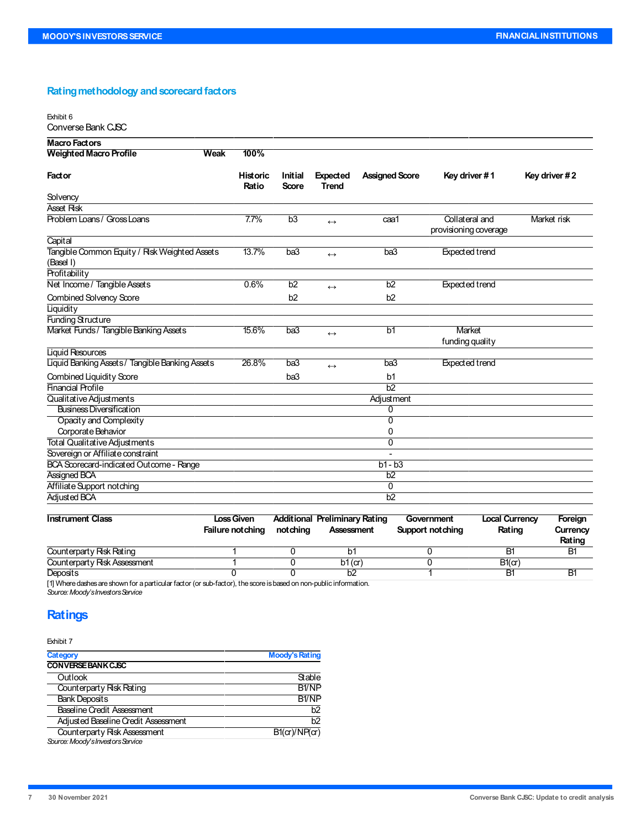## **Rating methodology and scorecard factors**

# Exhibit 6

Converse Bank CJSC

| <b>Macro Factors</b>                                       |                          |                                |                                 |                       |                                         |               |
|------------------------------------------------------------|--------------------------|--------------------------------|---------------------------------|-----------------------|-----------------------------------------|---------------|
| <b>Weighted Macro Profile</b><br>Weak                      | 100%                     |                                |                                 |                       |                                         |               |
| <b>Factor</b>                                              | <b>Historic</b><br>Ratio | <b>Initial</b><br><b>Score</b> | <b>Expected</b><br><b>Trend</b> | <b>Assigned Score</b> | Key driver #1                           | Key driver #2 |
| Solvency                                                   |                          |                                |                                 |                       |                                         |               |
| Asset Risk                                                 |                          |                                |                                 |                       |                                         |               |
| Problem Loans/ Gross Loans                                 | 7.7%                     | $\overline{b3}$                | $\leftrightarrow$               | caa1                  | Collateral and<br>provisioning coverage | Market risk   |
| Capital                                                    |                          |                                |                                 |                       |                                         |               |
| Tangible Common Equity / Risk Weighted Assets<br>(Basel I) | 13.7%                    | ba <sub>3</sub>                | $\leftrightarrow$               | ba3                   | <b>Expected trend</b>                   |               |
| Profitability                                              |                          |                                |                                 |                       |                                         |               |
| Net Income / Tangible Assets                               | 0.6%                     | $\overline{b2}$                | $\leftrightarrow$               | b2                    | <b>Expected trend</b>                   |               |
| <b>Combined Solvency Score</b>                             |                          | $\overline{b2}$                |                                 | $\overline{b2}$       |                                         |               |
| Liquidity                                                  |                          |                                |                                 |                       |                                         |               |
| Funding Structure                                          |                          |                                |                                 |                       |                                         |               |
| Market Funds / Tangible Banking Assets                     | 15.6%                    | ba3                            | $\leftrightarrow$               | b1                    | Market<br>funding quality               |               |
| Liquid Resources                                           |                          |                                |                                 |                       |                                         |               |
| Liquid Banking Assets / Tangible Banking Assets            | 26.8%                    | ba3                            | $\leftrightarrow$               | ba3                   | <b>Expected trend</b>                   |               |
| Combined Liquidity Score                                   |                          | ba3                            |                                 | b <sub>1</sub>        |                                         |               |
| <b>Financial Profile</b>                                   |                          |                                |                                 | $\overline{b2}$       |                                         |               |
| Qualitative Adjustments                                    |                          |                                |                                 | Adjustment            |                                         |               |
| <b>Business Diversification</b>                            |                          |                                |                                 | 0                     |                                         |               |
| Opacity and Complexity                                     |                          |                                |                                 | 0                     |                                         |               |
| Corporate Behavior                                         |                          |                                |                                 | 0                     |                                         |               |
| Total Qualitative Adjustments                              |                          |                                |                                 | 0                     |                                         |               |
| Sovereign or Affiliate constraint                          |                          |                                |                                 |                       |                                         |               |
| BCA Scorecard-indicated Outcome - Range                    |                          |                                |                                 | $b1 - b3$             |                                         |               |
| Assigned BCA                                               |                          |                                |                                 | b2                    |                                         |               |
| Affiliate Support notching                                 |                          |                                |                                 | 0                     |                                         |               |
| <b>Adjusted BCA</b>                                        |                          |                                |                                 | $\overline{b2}$       |                                         |               |

| <b>Instrument Class</b>                                                                                                       | Loss Given<br>Failure not ching | notchina | <b>Additional Preliminary Rating</b><br>Assessment | Government<br>Support not ching | <b>Local Currency</b><br>Rating | Foreign<br>Currency<br>Rating |
|-------------------------------------------------------------------------------------------------------------------------------|---------------------------------|----------|----------------------------------------------------|---------------------------------|---------------------------------|-------------------------------|
| Counterparty Risk Rating                                                                                                      |                                 |          |                                                    |                                 | B1                              | B <sub>1</sub>                |
| Counterparty Risk Assessment                                                                                                  |                                 |          | b1(r)                                              |                                 | $B1$ (cr)                       |                               |
| Deposits<br>[4] Whare deebes are chours for a nortiaular foster (or aub foster), the cears is booed on non mublic information |                                 |          |                                                    |                                 | B1                              | <b>B1</b>                     |

[1] Where dashes are shown for a particular factor (or sub-factor), the score is based on non-public information. *Source: Moody's Investors Service*

## **Ratings**

#### Exhibit 7

| Category                            | <b>Moody's Rating</b> |
|-------------------------------------|-----------------------|
| <b>CONVERSE BANK CJSC</b>           |                       |
| Outlook                             | Stable                |
| Counterparty Risk Rating            | B1/NP                 |
| <b>Bank Deposits</b>                | <b>B1/NP</b>          |
| <b>Baseline Credit Assessment</b>   | b2                    |
| Adjusted Baseline Credit Assessment | $\overline{b2}$       |
| Counterparty Risk Assessment        | $B1$ (cr)/ $NP$ (cr)  |
| On iron: Moody's Investors Oppias   |                       |

*Source: Moody's Investors Service*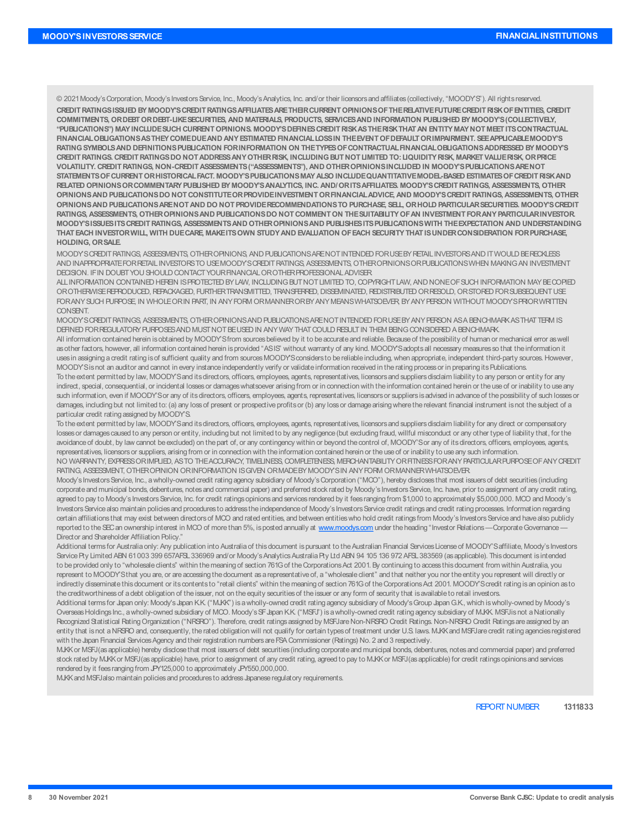© 2021 Moody's Corporation, Moody's Investors Service, Inc., Moody's Analytics, Inc. and/or their licensors and affiliates (collectively, "MOODY'S"). All rights reserved. **CREDIT RATINGS ISSUED BY MOODY'S CREDIT RATINGS AFFILIATES ARE THEIR CURRENT OPINIONS OF THE RELATIVE FUTURE CREDIT RISK OF ENTITIES, CREDIT COMMITMENTS, OR DEBT OR DEBT-LIKE SECURITIES, AND MATERIALS, PRODUCTS, SERVICES AND INFORMATION PUBLISHED BY MOODY'S (COLLECTIVELY, "PUBLICATIONS") MAY INCLUDE SUCH CURRENT OPINIONS. MOODY'S DEFINES CREDIT RISK AS THE RISK THAT AN ENTITY MAY NOT MEET ITS CONTRACTUAL FINANCIAL OBLIGATIONS AS THEY COME DUE AND ANY ESTIMATED FINANCIAL LOSS IN THE EVENT OF DEFAULT OR IMPAIRMENT. SEE APPLICABLE MOODY'S RATING SYMBOLS AND DEFINITIONS PUBLICATION FOR INFORMATION ON THE TYPES OF CONTRACTUAL FINANCIAL OBLIGATIONS ADDRESSED BY MOODY'S CREDIT RATINGS. CREDIT RATINGS DO NOT ADDRESS ANY OTHER RISK, INCLUDING BUT NOT LIMITED TO: LIQUIDITY RISK, MARKET VALUE RISK, OR PRICE VOLATILITY. CREDIT RATINGS, NON-CREDIT ASSESSMENTS ("ASSESSMENTS"), AND OTHER OPINIONS INCLUDED IN MOODY'S PUBLICATIONS ARE NOT STATEMENTS OF CURRENT OR HISTORICAL FACT. MOODY'S PUBLICATIONS MAY ALSO INCLUDE QUANTITATIVE MODEL-BASED ESTIMATES OF CREDIT RISK AND RELATED OPINIONS OR COMMENTARY PUBLISHED BY MOODY'S ANALYTICS, INC. AND/OR ITS AFFILIATES. MOODY'S CREDIT RATINGS, ASSESSMENTS, OTHER OPINIONS AND PUBLICATIONS DO NOT CONSTITUTE OR PROVIDE INVESTMENT OR FINANCIAL ADVICE, AND MOODY'S CREDIT RATINGS, ASSESSMENTS, OTHER OPINIONS AND PUBLICATIONS ARE NOT AND DO NOT PROVIDE RECOMMENDATIONS TO PURCHASE, SELL, OR HOLD PARTICULAR SECURITIES. MOODY'S CREDIT RATINGS, ASSESSMENTS, OTHER OPINIONS AND PUBLICATIONS DO NOT COMMENT ON THE SUITABILITY OF AN INVESTMENT FOR ANY PARTICULAR INVESTOR. MOODY'S ISSUES ITS CREDIT RATINGS, ASSESSMENTS AND OTHER OPINIONS AND PUBLISHES ITS PUBLICATIONS WITH THE EXPECTATION AND UNDERSTANDING THAT EACH INVESTOR WILL, WITH DUE CARE, MAKE ITS OWN STUDY AND EVALUATION OF EACH SECURITY THAT IS UNDER CONSIDERATION FOR PURCHASE, HOLDING, OR SALE.**

MOODY'S CREDIT RATINGS, ASSESSMENTS, OTHER OPINIONS, AND PUBLICATIONS ARE NOT INTENDED FOR USE BY RETAIL INVESTORS AND IT WOULD BE RECKLESS AND INAPPROPRIATE FOR RETAIL INVESTORS TO USE MOODY'S CREDIT RATINGS, ASSESSMENTS, OTHER OPINIONS OR PUBLICATIONS WHEN MAKING AN INVESTMENT DECISION. IF IN DOUBT YOU SHOULD CONTACT YOUR FINANCIAL OR OTHER PROFESSIONAL ADVISER.

ALL INFORMATION CONTAINED HEREIN IS PROTECTED BY LAW, INCLUDING BUT NOT LIMITED TO, COPYRIGHT LAW, AND NONE OF SUCH INFORMATION MAY BE COPIED OR OTHERWISE REPRODUCED, REPACKAGED, FURTHER TRANSMITTED, TRANSFERRED, DISSEMINATED, REDISTRIBUTED OR RESOLD, OR STORED FOR SUBSEQUENT USE FOR ANY SUCH PURPOSE, IN WHOLE OR IN PART, IN ANY FORM OR MANNER OR BY ANY MEANS WHATSOEVER, BY ANY PERSON WITHOUT MOODY'S PRIOR WRITTEN **CONSENT** 

MOODY'S CREDIT RATINGS, ASSESSMENTS, OTHER OPINIONS AND PUBLICATIONS ARE NOT INTENDED FOR USE BY ANY PERSON AS A BENCHMARK AS THAT TERM IS DEFINED FOR REGULATORY PURPOSES AND MUST NOT BE USED IN ANY WAY THAT COULD RESULT IN THEM BEING CONSIDERED A BENCHMARK.

All information contained herein is obtained by MOODY'S from sources believed by it to be accurate and reliable. Because of the possibility of human or mechanical error as well as other factors, however, all information contained herein is provided "ASIS" without warranty of any kind. MOODY'S adopts all necessary measures so that the information it uses in assigning a credit rating is of sufficient quality and from sources MOODY'S considers to be reliable including, when appropriate, independent third-party sources. However, MOODY'S is not an auditor and cannot in every instance independently verify or validate information received in the rating process or in preparing its Publications.

To the extent permitted by law, MOODY'S and its directors, officers, employees, agents, representatives, licensors and suppliers disclaim liability to any person or entity for any indirect, special, consequential, or incidental losses or damages whatsoever arising from or in connection with the information contained herein or the use of or inability to use any such information, even if MOODY'S or any of its directors, officers, employees, agents, representatives, licensors or suppliers is advised in advance of the possibility of such losses or damages, including but not limited to: (a) any loss of present or prospective profits or (b) any loss or damage arising where the relevant financial instrument is not the subject of a particular credit rating assigned by MOODY'S.

To the extent permitted by law, MOODY'S and its directors, officers, employees, agents, representatives, licensors and suppliers disclaim liability for any direct or compensatory losses or damages caused to any person or entity, including but not limited to by any negligence (but excluding fraud, willful misconduct or any other type of liability that, for the avoidance of doubt, by law cannot be excluded) on the part of, or any contingency within or beyond the control of, MOODY'S or any of its directors, officers, employees, agents, representatives, licensors or suppliers, arising from or in connection with the information contained herein or the use of or inability to use any such information.

NO WARRANTY, EXPRESS OR IMPLIED, AS TO THE ACCURACY, TIMELINESS, COMPLETENESS, MERCHANTABILITY OR FITNESS FOR ANY PARTICULAR PURPOSE OF ANY CREDIT RATING, ASSESSMENT, OTHER OPINION OR INFORMATION IS GIVEN OR MADE BY MOODY'S IN ANY FORM OR MANNER WHATSOEVER.

Moody's Investors Service, Inc., a wholly-owned credit rating agency subsidiary of Moody's Corporation ("MCO"), hereby discloses that most issuers of debt securities (including corporate and municipal bonds, debentures, notes and commercial paper) and preferred stock rated by Moody's Investors Service, Inc. have, prior to assignment of any credit rating, agreed to pay to Moody's Investors Service, Inc. for credit ratings opinions and services rendered by it fees ranging from \$1,000 to approximately \$5,000,000. MCO and Moody's Investors Service also maintain policies and procedures to address the independence of Moody's Investors Service credit ratings and credit rating processes. Information regarding certain affiliations that may exist between directors of MCO and rated entities, and between entities who hold credit ratings from Moody's Investors Service and have also publicly reported to the SEC an ownership interest in MCO of more than 5%, is posted annually at www.moodys.com under the heading "Investor Relations - Corporate Governance -Director and Shareholder Affiliation Policy."

Additional terms for Australia only: Any publication into Australia of this document is pursuant to the Australian Financial Services License of MOODY'S affiliate, Moody's Investors Service Pty Limited ABN 61 003 399 657AFSL 336969 and/or Moody's Analytics Australia Pty Ltd ABN 94 105 136 972 AFSL 383569 (as applicable). This document is intended to be provided only to "wholesale clients" within the meaning of section 761G of the Corporations Act 2001. By continuing to access this document from within Australia, you represent to MOODY'S that you are, or are accessing the document as a representative of, a "wholesale client" and that neither you nor the entity you represent will directly or indirectly disseminate this document or its contents to "retail clients" within the meaning of section 761G of the Corporations Act 2001. MOODY'S credit rating is an opinion as to the creditworthiness of a debt obligation of the issuer, not on the equity securities of the issuer or any form of security that is available to retail investors.

Additional terms for Japan only: Moody's Japan K.K. ("MJKK") is a wholly-owned credit rating agency subsidiary of Moody's Group Japan G.K., which is wholly-owned by Moody's Overseas Holdings Inc., a wholly-owned subsidiary of MCO. Moody's SF Japan K.K. ("MSFJ") is a wholly-owned credit rating agency subsidiary of MJKK. MSFJ is not a Nationally Recognized Statistical Rating Organization ("NRSRO"). Therefore, credit ratings assigned by MSFJ are Non-NRSRO Credit Ratings are assigned by an entity that is not a NRSRO and, consequently, the rated obligation will not qualify for certain types of treatment under U.S. laws. MJKK and MSFJ are credit rating agencies registered with the Japan Financial Services Agency and their registration numbers are FSA Commissioner (Ratings) No. 2 and 3 respectively.

MJKK or MSFJ (as applicable) hereby disclose that most issuers of debt securities (including corporate and municipal bonds, debentures, notes and commercial paper) and preferred stock rated by MJKK or MSFJ (as applicable) have, prior to assignment of any credit rating, agreed to pay to MJKK or MSFJ (as applicable) for credit ratings opinions and services rendered by it fees ranging from JPY125,000 to approximately JPY550,000,000.

MJKK and MSFJ also maintain policies and procedures to address Japanese regulatory requirements.

REPORT NUMBER **1311833**